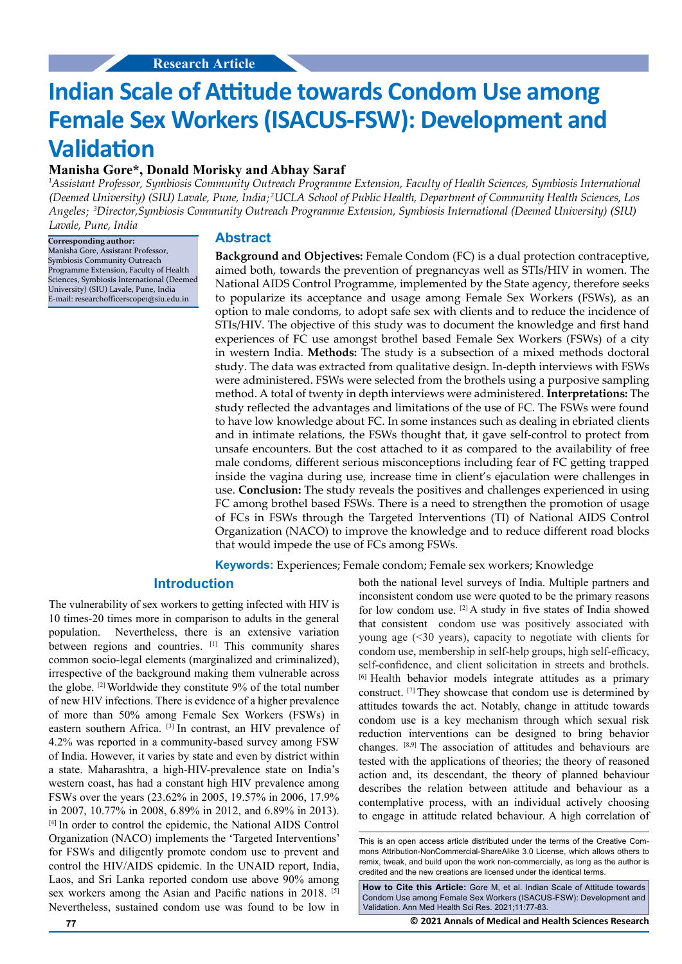# **Indian Scale of Attitude towards Condom Use among Female Sex Workers (ISACUS-FSW): Development and Validation**

# **Manisha Gore\*, Donald Morisky and Abhay Saraf**

 *Assistant Professor, Symbiosis Community Outreach Programme Extension, Faculty of Health Sciences, Symbiosis International 1* (Deemed University) (SIU) Lavale, Pune, India;<sup>2</sup>UCLA School of Public Health, Department of Community Health Sciences, Los Angeles; <sup>3</sup>Director,Symbiosis Community Outreach Programme Extension, Symbiosis International (Deemed University) (SIU) *Lavale, Pune, India*

**Corresponding author:** Manisha Gore, Assistant Professor, Symbiosis Community Outreach Programme Extension, Faculty of Health Sciences, Symbiosis International (Deemed Universi[ty\) \(SIU\) Lavale, Pune, India](mailto:researchofficerscope1@siu.edu.in) E-mail: researchofficerscope1@siu.edu.in

# **Abstract**

**Background and Objectives:** Female Condom (FC) is a dual protection contraceptive, aimed both, towards the prevention of pregnancyas well as STIs/HIV in women. The National AIDS Control Programme, implemented by the State agency, therefore seeks to popularize its acceptance and usage among Female Sex Workers (FSWs), as an option to male condoms, to adopt safe sex with clients and to reduce the incidence of STIs/HIV. The objective of this study was to document the knowledge and first hand experiences of FC use amongst brothel based Female Sex Workers (FSWs) of a city in western India. **Methods:** The study is a subsection of a mixed methods doctoral study. The data was extracted from qualitative design. In-depth interviews with FSWs were administered. FSWs were selected from the brothels using a purposive sampling method. A total of twenty in depth interviews were administered. **Interpretations:** The study reflected the advantages and limitations of the use of FC. The FSWs were found to have low knowledge about FC. In some instances such as dealing in ebriated clients and in intimate relations, the FSWs thought that, it gave self-control to protect from unsafe encounters. But the cost attached to it as compared to the availability of free male condoms, different serious misconceptions including fear of FC getting trapped inside the vagina during use, increase time in client's ejaculation were challenges in use. **Conclusion:** The study reveals the positives and challenges experienced in using FC among brothel based FSWs. There is a need to strengthen the promotion of usage of FCs in FSWs through the Targeted Interventions (TI) of National AIDS Control Organization (NACO) to improve the knowledge and to reduce different road blocks that would impede the use of FCs among FSWs.

**Keywords:** Experiences; Female condom; Female sex workers; Knowledge

# **Introduction**

The vulnerability of sex workers to getting infected with HIV is 10 times-20 times more in comparison to adults in the general population. Nevertheless, there is an extensive variation between regions and countries. [1] This community shares common socio-legal elements (marginalized and criminalized), irrespective of the background making them vulnerable across the globe. [2] Worldwide they constitute 9% of the total number of new HIV infections. There is evidence of a higher prevalence of more than 50% among Female Sex Workers (FSWs) in eastern southern Africa. [3] In contrast, an HIV prevalence of 4.2% was reported in a community-based survey among FSW of India. However, it varies by state and even by district within a state. Maharashtra, a high-HIV-prevalence state on India's western coast, has had a constant high HIV prevalence among FSWs over the years (23.62% in 2005, 19.57% in 2006, 17.9% in 2007, 10.77% in 2008, 6.89% in 2012, and 6.89% in 2013). [4] In order to control the epidemic, the National AIDS Control Organization (NACO) implements the 'Targeted Interventions' for FSWs and diligently promote condom use to prevent and control the HIV/AIDS epidemic. In the UNAID report, India, Laos, and Sri Lanka reported condom use above 90% among sex workers among the Asian and Pacific nations in 2018. [5] Nevertheless, sustained condom use was found to be low in both the national level surveys of India. Multiple partners and inconsistent condom use were quoted to be the primary reasons for low condom use.  $[2]$  A study in five states of India showed that consistent condom use was positively associated with young age (<30 years), capacity to negotiate with clients for condom use, membership in self-help groups, high self-efficacy, self-confidence, and client solicitation in streets and brothels. [6] Health behavior models integrate attitudes as a primary construct. [7] They showcase that condom use is determined by attitudes towards the act. Notably, change in attitude towards condom use is a key mechanism through which sexual risk reduction interventions can be designed to bring behavior changes. [8,9] The association of attitudes and behaviours are tested with the applications of theories; the theory of reasoned action and, its descendant, the theory of planned behaviour describes the relation between attitude and behaviour as a contemplative process, with an individual actively choosing to engage in attitude related behaviour. A high correlation of

**How to Cite this Article:** Gore M, et al. Indian Scale of Attitude towards Condom Use among Female Sex Workers (ISACUS-FSW): Development and Validation. Ann Med Health Sci Res. 2021;11:77-83.

**77 © 2021 Annals of Medical and Health Sciences Research** 

This is an open access article distributed under the terms of the Creative Commons Attribution-NonCommercial-ShareAlike 3.0 License, which allows others to remix, tweak, and build upon the work non-commercially, as long as the author is credited and the new creations are licensed under the identical terms.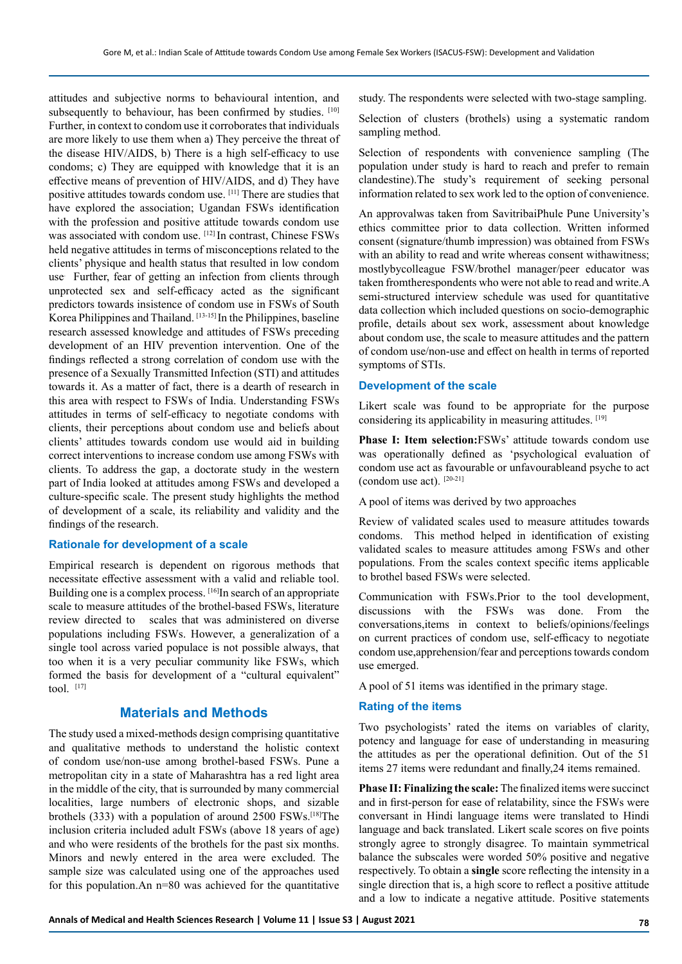attitudes and subjective norms to behavioural intention, and subsequently to behaviour, has been confirmed by studies. [10] Further, in context to condom use it corroborates that individuals are more likely to use them when a) They perceive the threat of the disease HIV/AIDS, b) There is a high self-efficacy to use condoms; c) They are equipped with knowledge that it is an effective means of prevention of HIV/AIDS, and d) They have positive attitudes towards condom use. [11] There are studies that have explored the association; Ugandan FSWs identification with the profession and positive attitude towards condom use was associated with condom use. [12] In contrast, Chinese FSWs held negative attitudes in terms of misconceptions related to the clients' physique and health status that resulted in low condom use. Further, fear of getting an infection from clients through unprotected sex and self-efficacy acted as the significant predictors towards insistence of condom use in FSWs of South Korea Philippines and Thailand. [13-15] In the Philippines, baseline research assessed knowledge and attitudes of FSWs preceding development of an HIV prevention intervention. One of the findings reflected a strong correlation of condom use with the presence of a Sexually Transmitted Infection (STI) and attitudes towards it. As a matter of fact, there is a dearth of research in this area with respect to FSWs of India. Understanding FSWs attitudes in terms of self-efficacy to negotiate condoms with clients, their perceptions about condom use and beliefs about clients' attitudes towards condom use would aid in building correct interventions to increase condom use among FSWs with clients. To address the gap, a doctorate study in the western part of India looked at attitudes among FSWs and developed a culture-specific scale. The present study highlights the method of development of a scale, its reliability and validity and the findings of the research.

# **Rationale for development of a scale**

Empirical research is dependent on rigorous methods that necessitate effective assessment with a valid and reliable tool. Building one is a complex process. [16]In search of an appropriate scale to measure attitudes of the brothel-based FSWs, literature review directed to scales that was administered on diverse populations including FSWs. However, a generalization of a single tool across varied populace is not possible always, that too when it is a very peculiar community like FSWs, which formed the basis for development of a "cultural equivalent"  $\text{tol}$   $[17]$ 

# **Materials and Methods**

The study used a mixed-methods design comprising quantitative and qualitative methods to understand the holistic context of condom use/non-use among brothel-based FSWs. Pune a metropolitan city in a state of Maharashtra has a red light area in the middle of the city, that is surrounded by many commercial localities, large numbers of electronic shops, and sizable brothels (333) with a population of around 2500 FSWs.[18]The inclusion criteria included adult FSWs (above 18 years of age) and who were residents of the brothels for the past six months. Minors and newly entered in the area were excluded. The sample size was calculated using one of the approaches used for this population.An n=80 was achieved for the quantitative study. The respondents were selected with two-stage sampling.

Selection of clusters (brothels) using a systematic random sampling method.

Selection of respondents with convenience sampling (The population under study is hard to reach and prefer to remain clandestine).The study's requirement of seeking personal information related to sex work led to the option of convenience.

An approvalwas taken from SavitribaiPhule Pune University's ethics committee prior to data collection. Written informed consent (signature/thumb impression) was obtained from FSWs with an ability to read and write whereas consent withawitness; mostlybycolleague FSW/brothel manager/peer educator was taken fromtherespondents who were not able to read and write.A semi-structured interview schedule was used for quantitative data collection which included questions on socio-demographic profile, details about sex work, assessment about knowledge about condom use, the scale to measure attitudes and the pattern of condom use/non-use and effect on health in terms of reported symptoms of STIs.

# **Development of the scale**

Likert scale was found to be appropriate for the purpose considering its applicability in measuring attitudes. [19]

**Phase I: Item selection:**FSWs' attitude towards condom use was operationally defined as 'psychological evaluation of condom use act as favourable or unfavourableand psyche to act (condom use act).  $[20-21]$ 

A pool of items was derived by two approaches

Review of validated scales used to measure attitudes towards condoms. This method helped in identification of existing validated scales to measure attitudes among FSWs and other populations. From the scales context specific items applicable to brothel based FSWs were selected.

Communication with FSWs.Prior to the tool development, discussions with the FSWs was done. From the conversations,items in context to beliefs/opinions/feelings on current practices of condom use, self-efficacy to negotiate condom use,apprehension/fear and perceptions towards condom use emerged.

A pool of 51 items was identified in the primary stage.

## **Rating of the items**

Two psychologists' rated the items on variables of clarity, potency and language for ease of understanding in measuring the attitudes as per the operational definition. Out of the 51 items 27 items were redundant and finally,24 items remained.

**Phase II: Finalizing the scale:** The finalized items were succinct and in first-person for ease of relatability, since the FSWs were conversant in Hindi language items were translated to Hindi language and back translated. Likert scale scores on five points strongly agree to strongly disagree. To maintain symmetrical balance the subscales were worded 50% positive and negative respectively. To obtain a **single** score reflecting the intensity in a single direction that is, a high score to reflect a positive attitude and a low to indicate a negative attitude. Positive statements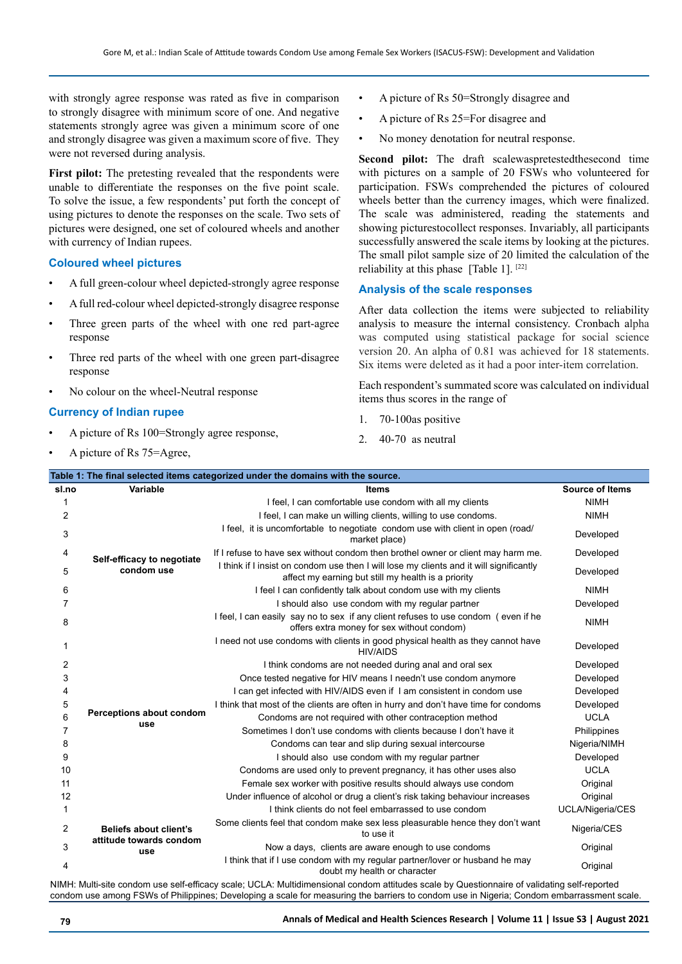with strongly agree response was rated as five in comparison to strongly disagree with minimum score of one. And negative statements strongly agree was given a minimum score of one and strongly disagree was given a maximum score of five. They were not reversed during analysis.

First pilot: The pretesting revealed that the respondents were unable to differentiate the responses on the five point scale. To solve the issue, a few respondents' put forth the concept of using pictures to denote the responses on the scale. Two sets of pictures were designed, one set of coloured wheels and another with currency of Indian rupees.

## **Coloured wheel pictures**

- A full green-colour wheel depicted-strongly agree response
- A full red-colour wheel depicted-strongly disagree response
- Three green parts of the wheel with one red part-agree response
- Three red parts of the wheel with one green part-disagree response
- No colour on the wheel-Neutral response

# **Currency of Indian rupee**

- A picture of Rs 100=Strongly agree response,
- A picture of Rs 75=Agree,
- A picture of Rs 50=Strongly disagree and
- A picture of Rs 25=For disagree and
- No money denotation for neutral response.

**Second pilot:** The draft scalewaspretestedthesecond time with pictures on a sample of 20 FSWs who volunteered for participation. FSWs comprehended the pictures of coloured wheels better than the currency images, which were finalized. The scale was administered, reading the statements and showing picturestocollect responses. Invariably, all participants successfully answered the scale items by looking at the pictures. The small pilot sample size of 20 limited the calculation of the reliability at this phase [Table 1]. [22]

## **Analysis of the scale responses**

After data collection the items were subjected to reliability analysis to measure the internal consistency. Cronbach alpha was computed using statistical package for social science version 20. An alpha of 0.81 was achieved for 18 statements. Six items were deleted as it had a poor inter-item correlation.

Each respondent's summated score was calculated on individual items thus scores in the range of

- 1. 70-100as positive
- 2. 40-70 as neutral

| sl.no          | Variable                                                 | <b>Items</b>                                                                                                                                   | <b>Source of Items</b> |
|----------------|----------------------------------------------------------|------------------------------------------------------------------------------------------------------------------------------------------------|------------------------|
|                |                                                          | I feel, I can comfortable use condom with all my clients                                                                                       | <b>NIMH</b>            |
| 2              |                                                          | I feel, I can make un willing clients, willing to use condoms.                                                                                 | <b>NIMH</b>            |
| 3              |                                                          | I feel, it is uncomfortable to negotiate condom use with client in open (road/<br>market place)                                                | Developed              |
| 4              | Self-efficacy to negotiate<br>condom use                 | If I refuse to have sex without condom then brothel owner or client may harm me.                                                               | Developed              |
| 5              |                                                          | I think if I insist on condom use then I will lose my clients and it will significantly<br>affect my earning but still my health is a priority | Developed              |
| 6              |                                                          | I feel I can confidently talk about condom use with my clients                                                                                 | <b>NIMH</b>            |
| 7              |                                                          | I should also use condom with my regular partner                                                                                               | Developed              |
| 8              |                                                          | I feel, I can easily say no to sex if any client refuses to use condom (even if he<br>offers extra money for sex without condom)               | <b>NIMH</b>            |
| 1              |                                                          | I need not use condoms with clients in good physical health as they cannot have<br><b>HIV/AIDS</b>                                             | Developed              |
| $\overline{2}$ |                                                          | I think condoms are not needed during anal and oral sex                                                                                        | Developed              |
| 3              |                                                          | Once tested negative for HIV means I needn't use condom anymore                                                                                | Developed              |
| 4              |                                                          | I can get infected with HIV/AIDS even if I am consistent in condom use                                                                         | Developed              |
| 5              |                                                          | I think that most of the clients are often in hurry and don't have time for condoms                                                            | Developed              |
| 6              | Perceptions about condom                                 | Condoms are not required with other contraception method                                                                                       | <b>UCLA</b>            |
| 7              | use                                                      | Sometimes I don't use condoms with clients because I don't have it                                                                             | Philippines            |
| 8              |                                                          | Condoms can tear and slip during sexual intercourse                                                                                            | Nigeria/NIMH           |
| 9              |                                                          | I should also use condom with my regular partner                                                                                               | Developed              |
| 10             |                                                          | Condoms are used only to prevent pregnancy, it has other uses also                                                                             | <b>UCLA</b>            |
| 11             |                                                          | Female sex worker with positive results should always use condom                                                                               | Original               |
| 12             |                                                          | Under influence of alcohol or drug a client's risk taking behaviour increases                                                                  | Original               |
| 1              | Beliefs about client's<br>attitude towards condom<br>use | I think clients do not feel embarrassed to use condom                                                                                          | UCLA/Nigeria/CES       |
| 2              |                                                          | Some clients feel that condom make sex less pleasurable hence they don't want<br>to use it                                                     | Nigeria/CES            |
| 3              |                                                          | Now a days, clients are aware enough to use condoms                                                                                            | Original               |
| 4              |                                                          | I think that if I use condom with my regular partner/lover or husband he may<br>doubt my health or character                                   | Original               |

condom use among FSWs of Philippines; Developing a scale for measuring the barriers to condom use in Nigeria; Condom embarrassment scale.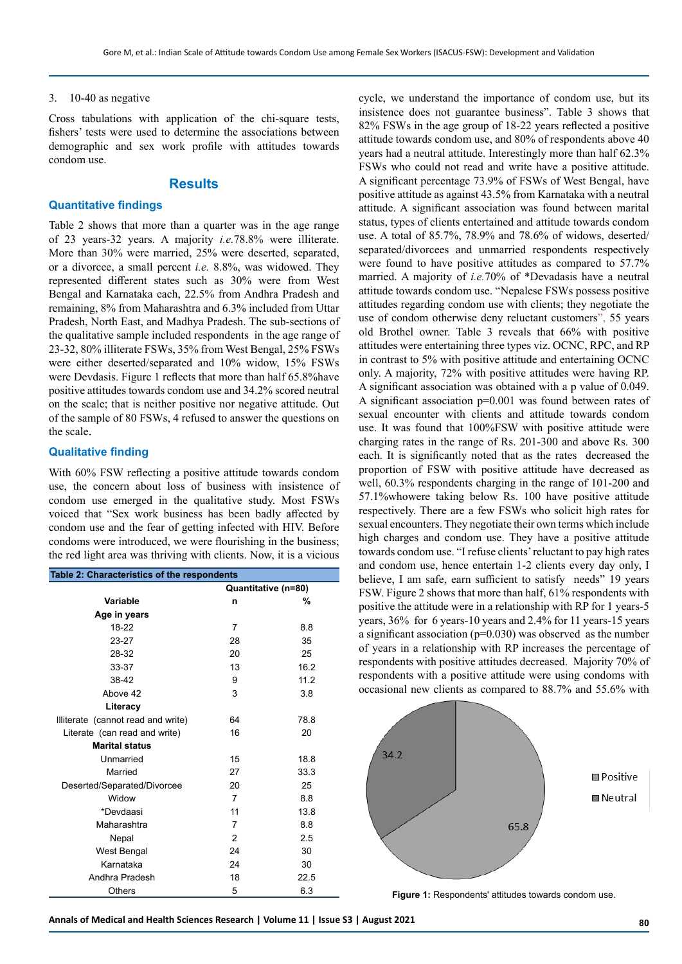#### 3. 10-40 as negative

Cross tabulations with application of the chi-square tests, fishers' tests were used to determine the associations between demographic and sex work profile with attitudes towards condom use.

# **Results**

## **Quantitative findings**

Table 2 shows that more than a quarter was in the age range of 23 years-32 years. A majority *i.e.*78.8% were illiterate. More than 30% were married, 25% were deserted, separated, or a divorcee, a small percent *i.e.* 8.8%, was widowed. They represented different states such as 30% were from West Bengal and Karnataka each, 22.5% from Andhra Pradesh and remaining, 8% from Maharashtra and 6.3% included from Uttar Pradesh, North East, and Madhya Pradesh. The sub-sections of the qualitative sample included respondents in the age range of 23-32, 80% illiterate FSWs, 35% from West Bengal, 25% FSWs were either deserted/separated and 10% widow, 15% FSWs were Devdasis. Figure 1 reflects that more than half 65.8%have positive attitudes towards condom use and 34.2% scored neutral on the scale; that is neither positive nor negative attitude. Out of the sample of 80 FSWs, 4 refused to answer the questions on the scale.

#### **Qualitative finding**

With 60% FSW reflecting a positive attitude towards condom use, the concern about loss of business with insistence of condom use emerged in the qualitative study. Most FSWs voiced that "Sex work business has been badly affected by condom use and the fear of getting infected with HIV. Before condoms were introduced, we were flourishing in the business; the red light area was thriving with clients. Now, it is a vicious

|                                    | Table 2: Characteristics of the respondents<br>Quantitative (n=80)<br><b>Variable</b><br>%<br>n<br>Age in years<br>18-22<br>7<br>8.8<br>23-27<br>35<br>28<br>28-32<br>25<br>20<br>13<br>16.2<br>33-37<br>38-42<br>11.2<br>9<br>Above 42<br>3<br>3.8<br>Literacy<br>64<br>78.8 |      |  |  |  |
|------------------------------------|-------------------------------------------------------------------------------------------------------------------------------------------------------------------------------------------------------------------------------------------------------------------------------|------|--|--|--|
|                                    |                                                                                                                                                                                                                                                                               |      |  |  |  |
|                                    |                                                                                                                                                                                                                                                                               |      |  |  |  |
|                                    |                                                                                                                                                                                                                                                                               |      |  |  |  |
|                                    |                                                                                                                                                                                                                                                                               |      |  |  |  |
|                                    |                                                                                                                                                                                                                                                                               |      |  |  |  |
|                                    |                                                                                                                                                                                                                                                                               |      |  |  |  |
|                                    |                                                                                                                                                                                                                                                                               |      |  |  |  |
|                                    |                                                                                                                                                                                                                                                                               |      |  |  |  |
|                                    |                                                                                                                                                                                                                                                                               |      |  |  |  |
|                                    |                                                                                                                                                                                                                                                                               |      |  |  |  |
| Illiterate (cannot read and write) |                                                                                                                                                                                                                                                                               |      |  |  |  |
| Literate (can read and write)      | 16                                                                                                                                                                                                                                                                            | 20   |  |  |  |
| <b>Marital status</b>              |                                                                                                                                                                                                                                                                               |      |  |  |  |
| Unmarried                          | 15                                                                                                                                                                                                                                                                            | 18.8 |  |  |  |
| Married                            | 27                                                                                                                                                                                                                                                                            | 33.3 |  |  |  |
| Deserted/Separated/Divorcee        | 20                                                                                                                                                                                                                                                                            | 25   |  |  |  |
| Widow                              | 7                                                                                                                                                                                                                                                                             | 8.8  |  |  |  |
| *Devdaasi                          | 11                                                                                                                                                                                                                                                                            | 13.8 |  |  |  |
| Maharashtra                        | 7                                                                                                                                                                                                                                                                             | 8.8  |  |  |  |
| Nepal                              | 2                                                                                                                                                                                                                                                                             | 2.5  |  |  |  |
| West Bengal                        | 24                                                                                                                                                                                                                                                                            | 30   |  |  |  |
| Karnataka                          | 24                                                                                                                                                                                                                                                                            | 30   |  |  |  |
| Andhra Pradesh                     | 18                                                                                                                                                                                                                                                                            | 22.5 |  |  |  |
| Others                             | 5                                                                                                                                                                                                                                                                             | 6.3  |  |  |  |

cycle, we understand the importance of condom use, but its insistence does not guarantee business". Table 3 shows that 82% FSWs in the age group of 18-22 years reflected a positive attitude towards condom use, and 80% of respondents above 40 years had a neutral attitude. Interestingly more than half 62.3% FSWs who could not read and write have a positive attitude. A significant percentage 73.9% of FSWs of West Bengal, have positive attitude as against 43.5% from Karnataka with a neutral attitude. A significant association was found between marital status, types of clients entertained and attitude towards condom use. A total of 85.7%, 78.9% and 78.6% of widows, deserted/ separated/divorcees and unmarried respondents respectively were found to have positive attitudes as compared to 57.7% married. A majority of *i.e.*70% of \*Devadasis have a neutral attitude towards condom use. "Nepalese FSWs possess positive attitudes regarding condom use with clients; they negotiate the use of condom otherwise deny reluctant customers", 55 years old Brothel owner. Table 3 reveals that 66% with positive attitudes were entertaining three types viz. OCNC, RPC, and RP in contrast to 5% with positive attitude and entertaining OCNC only. A majority, 72% with positive attitudes were having RP. A significant association was obtained with a p value of 0.049. A significant association  $p=0.001$  was found between rates of sexual encounter with clients and attitude towards condom use. It was found that 100%FSW with positive attitude were charging rates in the range of Rs. 201-300 and above Rs. 300 each. It is significantly noted that as the rates decreased the proportion of FSW with positive attitude have decreased as well, 60.3% respondents charging in the range of 101-200 and 57.1%whowere taking below Rs. 100 have positive attitude respectively. There are a few FSWs who solicit high rates for sexual encounters. They negotiate their own terms which include high charges and condom use. They have a positive attitude towards condom use. "I refuse clients' reluctant to pay high rates and condom use, hence entertain 1-2 clients every day only, I believe, I am safe, earn sufficient to satisfy needs" 19 years FSW. Figure 2 shows that more than half, 61% respondents with positive the attitude were in a relationship with RP for 1 years-5 years, 36% for 6 years-10 years and 2.4% for 11 years-15 years a significant association ( $p=0.030$ ) was observed as the number of years in a relationship with RP increases the percentage of respondents with positive attitudes decreased. Majority 70% of respondents with a positive attitude were using condoms with occasional new clients as compared to 88.7% and 55.6% with



**Figure 1:** Respondents' attitudes towards condom use.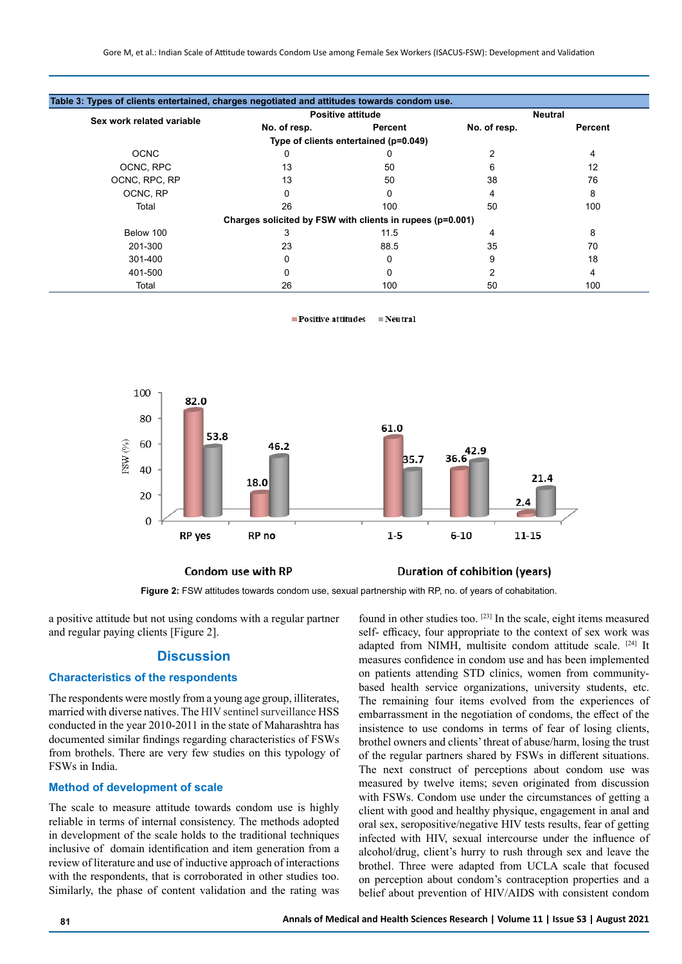|                           | <b>Positive attitude</b>                                  |                                       | <b>Neutral</b> |         |
|---------------------------|-----------------------------------------------------------|---------------------------------------|----------------|---------|
| Sex work related variable | No. of resp.                                              | Percent                               | No. of resp.   | Percent |
|                           |                                                           | Type of clients entertained (p=0.049) |                |         |
| <b>OCNC</b>               | 0                                                         | 0                                     | 2              | 4       |
| OCNC, RPC                 | 13                                                        | 50                                    | 6              | 12      |
| OCNC, RPC, RP             | 13                                                        | 50                                    | 38             | 76      |
| OCNC, RP                  |                                                           | 0                                     | 4              | 8       |
| Total                     | 26                                                        | 100                                   | 50             | 100     |
|                           | Charges solicited by FSW with clients in rupees (p=0.001) |                                       |                |         |
| Below 100                 | 3                                                         | 11.5                                  | 4              | 8       |
| 201-300                   | 23                                                        | 88.5                                  | 35             | 70      |
| 301-400                   | 0                                                         | 0                                     | 9              | 18      |
| 401-500                   |                                                           |                                       |                | 4       |
| Total                     | 26                                                        | 100                                   | 50             | 100     |

 $\blacksquare$  Positive attitudes  $\blacksquare$  Neutral



#### Condom use with RP



**Figure 2:** FSW attitudes towards condom use, sexual partnership with RP, no. of years of cohabitation.

a positive attitude but not using condoms with a regular partner and regular paying clients [Figure 2].

# **Discussion**

#### **Characteristics of the respondents**

The respondents were mostly from a young age group, illiterates, married with diverse natives. The HIV sentinel surveillance HSS conducted in the year 2010-2011 in the state of Maharashtra has documented similar findings regarding characteristics of FSWs from brothels. There are very few studies on this typology of FSWs in India.

# **Method of development of scale**

The scale to measure attitude towards condom use is highly reliable in terms of internal consistency. The methods adopted in development of the scale holds to the traditional techniques inclusive of domain identification and item generation from a review of literature and use of inductive approach of interactions with the respondents, that is corroborated in other studies too. Similarly, the phase of content validation and the rating was

found in other studies too. [23] In the scale, eight items measured self- efficacy, four appropriate to the context of sex work was adapted from NIMH, multisite condom attitude scale. [24] It measures confidence in condom use and has been implemented on patients attending STD clinics, women from communitybased health service organizations, university students, etc. The remaining four items evolved from the experiences of embarrassment in the negotiation of condoms, the effect of the insistence to use condoms in terms of fear of losing clients, brothel owners and clients' threat of abuse/harm, losing the trust of the regular partners shared by FSWs in different situations. The next construct of perceptions about condom use was measured by twelve items; seven originated from discussion with FSWs. Condom use under the circumstances of getting a client with good and healthy physique, engagement in anal and oral sex, seropositive/negative HIV tests results, fear of getting infected with HIV, sexual intercourse under the influence of alcohol/drug, client's hurry to rush through sex and leave the brothel. Three were adapted from UCLA scale that focused on perception about condom's contraception properties and a belief about prevention of HIV/AIDS with consistent condom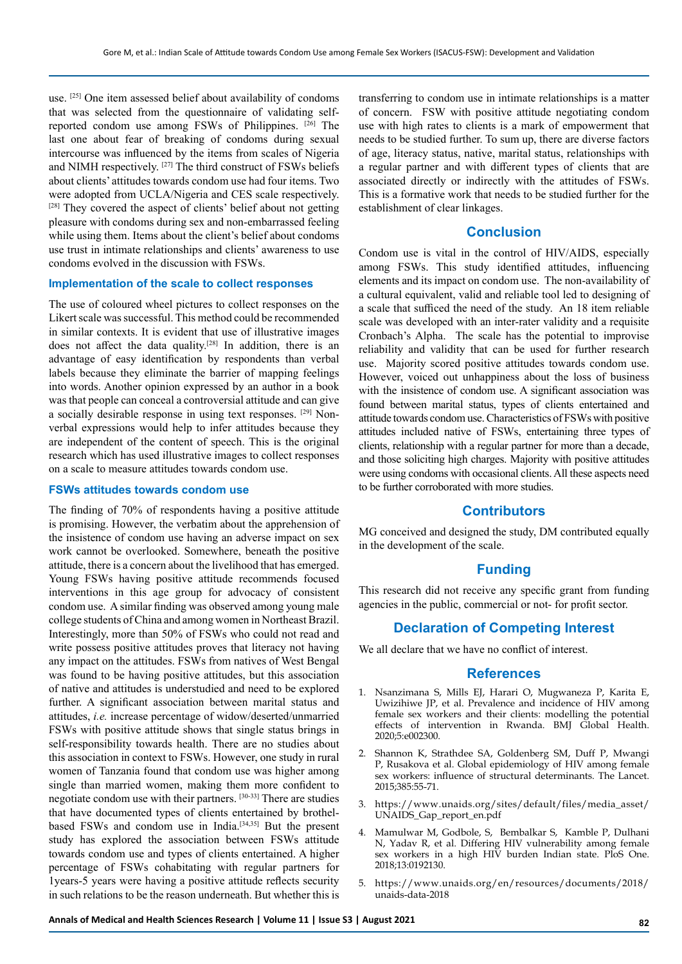use. <sup>[25]</sup> One item assessed belief about availability of condoms that was selected from the questionnaire of validating selfreported condom use among FSWs of Philippines. [26] The last one about fear of breaking of condoms during sexual intercourse was influenced by the items from scales of Nigeria and NIMH respectively. [27] The third construct of FSWs beliefs about clients' attitudes towards condom use had four items. Two were adopted from UCLA/Nigeria and CES scale respectively. [28] They covered the aspect of clients' belief about not getting pleasure with condoms during sex and non-embarrassed feeling while using them. Items about the client's belief about condoms use trust in intimate relationships and clients' awareness to use condoms evolved in the discussion with FSWs.

# **Implementation of the scale to collect responses**

The use of coloured wheel pictures to collect responses on the Likert scale was successful. This method could be recommended in similar contexts. It is evident that use of illustrative images does not affect the data quality.<sup>[28]</sup> In addition, there is an advantage of easy identification by respondents than verbal labels because they eliminate the barrier of mapping feelings into words. Another opinion expressed by an author in a book was that people can conceal a controversial attitude and can give a socially desirable response in using text responses. [29] Nonverbal expressions would help to infer attitudes because they are independent of the content of speech. This is the original research which has used illustrative images to collect responses on a scale to measure attitudes towards condom use.

# **FSWs attitudes towards condom use**

The finding of 70% of respondents having a positive attitude is promising. However, the verbatim about the apprehension of the insistence of condom use having an adverse impact on sex work cannot be overlooked. Somewhere, beneath the positive attitude, there is a concern about the livelihood that has emerged. Young FSWs having positive attitude recommends focused interventions in this age group for advocacy of consistent condom use. A similar finding was observed among young male college students of China and among women in Northeast Brazil. Interestingly, more than 50% of FSWs who could not read and write possess positive attitudes proves that literacy not having any impact on the attitudes. FSWs from natives of West Bengal was found to be having positive attitudes, but this association of native and attitudes is understudied and need to be explored further. A significant association between marital status and attitudes, *i.e.* increase percentage of widow/deserted/unmarried FSWs with positive attitude shows that single status brings in self-responsibility towards health. There are no studies about this association in context to FSWs. However, one study in rural women of Tanzania found that condom use was higher among single than married women, making them more confident to negotiate condom use with their partners. [30-33] There are studies that have documented types of clients entertained by brothelbased FSWs and condom use in India.<sup>[34,35]</sup> But the present study has explored the association between FSWs attitude towards condom use and types of clients entertained. A higher percentage of FSWs cohabitating with regular partners for 1years-5 years were having a positive attitude reflects security in such relations to be the reason underneath. But whether this is

transferring to condom use in intimate relationships is a matter of concern. FSW with positive attitude negotiating condom use with high rates to clients is a mark of empowerment that needs to be studied further. To sum up, there are diverse factors of age, literacy status, native, marital status, relationships with a regular partner and with different types of clients that are associated directly or indirectly with the attitudes of FSWs. This is a formative work that needs to be studied further for the establishment of clear linkages.

# **Conclusion**

Condom use is vital in the control of HIV/AIDS, especially among FSWs. This study identified attitudes, influencing elements and its impact on condom use. The non-availability of a cultural equivalent, valid and reliable tool led to designing of a scale that sufficed the need of the study. An 18 item reliable scale was developed with an inter-rater validity and a requisite Cronbach's Alpha. The scale has the potential to improvise reliability and validity that can be used for further research use. Majority scored positive attitudes towards condom use. However, voiced out unhappiness about the loss of business with the insistence of condom use. A significant association was found between marital status, types of clients entertained and attitude towards condom use. Characteristics of FSWs with positive attitudes included native of FSWs, entertaining three types of clients, relationship with a regular partner for more than a decade, and those soliciting high charges. Majority with positive attitudes were using condoms with occasional clients. All these aspects need to be further corroborated with more studies.

# **Contributors**

MG conceived and designed the study, DM contributed equally in the development of the scale.

# **Funding**

This research did not receive any specific grant from funding agencies in the public, commercial or not- for profit sector.

# **Declaration of Competing Interest**

We all declare that we have no conflict of interest.

#### **References**

- 1. Nsanzimana S, Mills EJ, Harari O, Mugwaneza P, Karita E, Uwizihiwe JP, et al. Prevalence and incidence of HIV among female sex workers and their clients: modelling the potential effects of intervention in Rwanda. BMJ Global Health. 2020;5:e002300.
- 2. Shannon K, Strathdee SA, Goldenberg SM, Duff P, Mwangi P, Rusakova et al. Global epidemiology of HIV among female sex workers: influence of structural determinants. The Lancet. 2015;385:55-71.
- 3. [https://www.unaids.org/sites/default/files/media\\_asset/](https://www.unaids.org/sites/default/files/media_asset/UNAIDS_Gap_report_en.pdf) [UNAIDS\\_Gap\\_report\\_en.pdf](https://www.unaids.org/sites/default/files/media_asset/UNAIDS_Gap_report_en.pdf)
- 4. Mamulwar M, Godbole, S, Bembalkar S, Kamble P, Dulhani N, Yadav R, et al. Differing HIV vulnerability among female sex workers in a high HIV burden Indian state. PloS One. 2018;13:0192130.
- 5. [https://www.unaids.org/en/resources/documents/2018/](https://www.unaids.org/en/resources/documents/2018/unaids-data-2018) [unaids-data-2018](https://www.unaids.org/en/resources/documents/2018/unaids-data-2018)